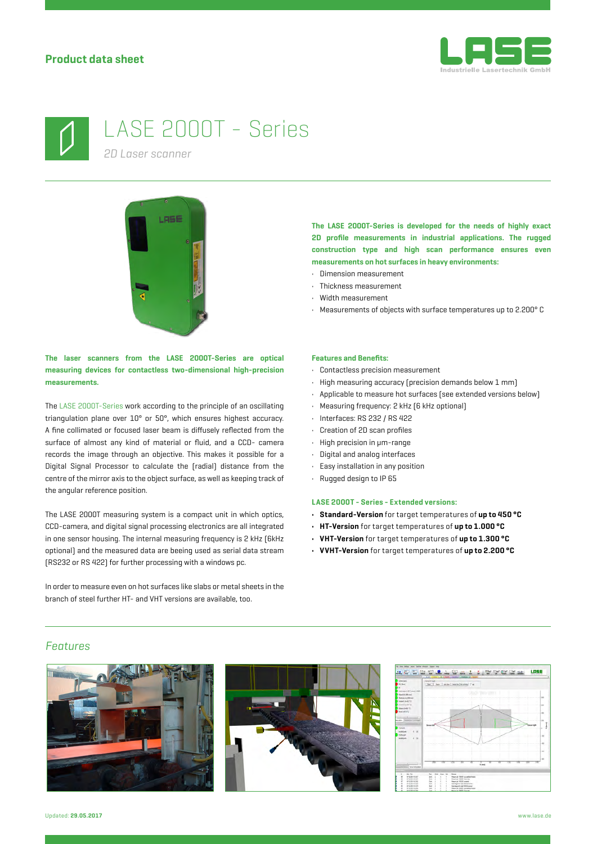



# LASE 2000T - Series

*2D Laser scanner*



**The laser scanners from the LASE 2000T-Series are optical measuring devices for contactless two-dimensional high-precision measurements.**

The LASE 2000T-Series work according to the principle of an oscillating triangulation plane over 10° or 50°, which ensures highest accuracy. A fine collimated or focused laser beam is diffusely reflected from the surface of almost any kind of material or fluid, and a CCD- camera records the image through an objective. This makes it possible for a Digital Signal Processor to calculate the (radial) distance from the centre of the mirror axis to the object surface, as well as keeping track of the angular reference position.

The LASE 2000T measuring system is a compact unit in which optics, CCD-camera, and digital signal processing electronics are all integrated in one sensor housing. The internal measuring frequency is 2 kHz (6kHz optional) and the measured data are beeing used as serial data stream (RS232 or RS 422) for further processing with a windows pc.

In order to measure even on hot surfaces like slabs or metal sheets in the branch of steel further HT- and VHT versions are available, too.

**The LASE 2000T-Series is developed for the needs of highly exact 2D profile measurements in industrial applications. The rugged construction type and high scan performance ensures even measurements on hot surfaces in heavy environments:**

- Dimension measurement
- Thickness measurement
- Width measurement
- Measurements of objects with surface temperatures up to 2.200° C

### **Features and Benefits:**

- Contactless precision measurement
- High measuring accuracy (precision demands below 1 mm)
- Applicable to measure hot surfaces (see extended versions below)
- Measuring frequency: 2 kHz (6 kHz optional)
- Interfaces: RS 232 / RS 422
- Creation of 2D scan profiles
- High precision in μm-range
- Digital and analog interfaces
- Easy installation in any position
- Rugged design to IP 65

#### **LASE 2000T - Series - Extended versions:**

- **• Standard-Version** for target temperatures of **up to 450 °C**
- **• HT-Version** for target temperatures of **up to 1.000 °C**
- **• VHT-Version** for target temperatures of **up to 1.300 °C**
- **• VVHT-Version** for target temperatures of **up to 2.200 °C**

# *Features*